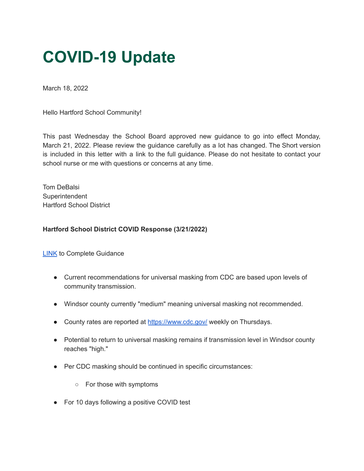## **COVID-19 Update**

March 18, 2022

Hello Hartford School Community!

This past Wednesday the School Board approved new guidance to go into effect Monday, March 21, 2022. Please review the guidance carefully as a lot has changed. The Short version is included in this letter with a link to the full guidance. Please do not hesitate to contact your school nurse or me with questions or concerns at any time.

Tom DeBalsi **Superintendent** Hartford School District

## **Hartford School District COVID Response (3/21/2022)**

[LINK](https://docs.google.com/document/d/1x5j9SaP9LTGeNZ6zCKc-4ReXTNSaU3xOmF-7hhQSols/edit?usp=sharing) to Complete Guidance

- Current recommendations for universal masking from CDC are based upon levels of community transmission.
- Windsor county currently "medium" meaning universal masking not recommended.
- County rates are reported at <https://www.cdc.gov/> weekly on Thursdays.
- Potential to return to universal masking remains if transmission level in Windsor county reaches "high."
- Per CDC masking should be continued in specific circumstances:
	- For those with symptoms
- For 10 days following a positive COVID test